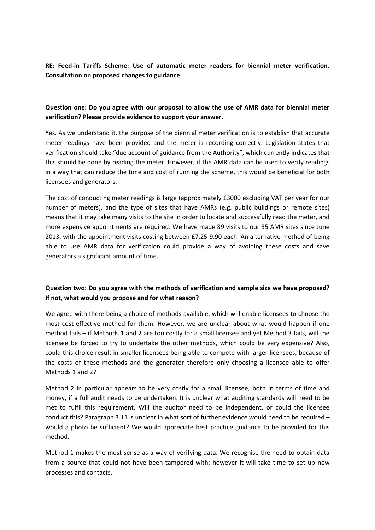**RE: Feed-in Tariffs Scheme: Use of automatic meter readers for biennial meter verification. Consultation on proposed changes to guidance**

#### **Question one: Do you agree with our proposal to allow the use of AMR data for biennial meter verification? Please provide evidence to support your answer.**

Yes. As we understand it, the purpose of the biennial meter verification is to establish that accurate meter readings have been provided and the meter is recording correctly. Legislation states that verification should take "due account of guidance from the Authority", which currently indicates that this should be done by reading the meter. However, if the AMR data can be used to verify readings in a way that can reduce the time and cost of running the scheme, this would be beneficial for both licensees and generators.

The cost of conducting meter readings is large (approximately £3000 excluding VAT per year for our number of meters), and the type of sites that have AMRs (e.g. public buildings or remote sites) means that it may take many visits to the site in order to locate and successfully read the meter, and more expensive appointments are required. We have made 89 visits to our 35 AMR sites since June 2013, with the appointment visits costing between £7.25-9.90 each. An alternative method of being able to use AMR data for verification could provide a way of avoiding these costs and save generators a significant amount of time.

### **Question two: Do you agree with the methods of verification and sample size we have proposed? If not, what would you propose and for what reason?**

We agree with there being a choice of methods available, which will enable licensees to choose the most cost-effective method for them. However, we are unclear about what would happen if one method fails – if Methods 1 and 2 are too costly for a small licensee and yet Method 3 fails, will the licensee be forced to try to undertake the other methods, which could be very expensive? Also, could this choice result in smaller licensees being able to compete with larger licensees, because of the costs of these methods and the generator therefore only choosing a licensee able to offer Methods 1 and 2?

Method 2 in particular appears to be very costly for a small licensee, both in terms of time and money, if a full audit needs to be undertaken. It is unclear what auditing standards will need to be met to fulfil this requirement. Will the auditor need to be independent, or could the licensee conduct this? Paragraph 3.11 is unclear in what sort of further evidence would need to be required – would a photo be sufficient? We would appreciate best practice guidance to be provided for this method.

Method 1 makes the most sense as a way of verifying data. We recognise the need to obtain data from a source that could not have been tampered with; however it will take time to set up new processes and contacts.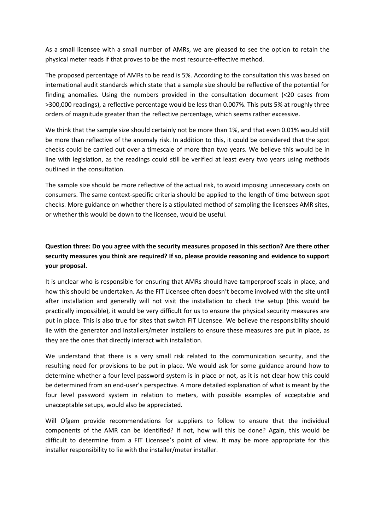As a small licensee with a small number of AMRs, we are pleased to see the option to retain the physical meter reads if that proves to be the most resource-effective method.

The proposed percentage of AMRs to be read is 5%. According to the consultation this was based on international audit standards which state that a sample size should be reflective of the potential for finding anomalies. Using the numbers provided in the consultation document (<20 cases from >300,000 readings), a reflective percentage would be less than 0.007%. This puts 5% at roughly three orders of magnitude greater than the reflective percentage, which seems rather excessive.

We think that the sample size should certainly not be more than 1%, and that even 0.01% would still be more than reflective of the anomaly risk. In addition to this, it could be considered that the spot checks could be carried out over a timescale of more than two years. We believe this would be in line with legislation, as the readings could still be verified at least every two years using methods outlined in the consultation.

The sample size should be more reflective of the actual risk, to avoid imposing unnecessary costs on consumers. The same context-specific criteria should be applied to the length of time between spot checks. More guidance on whether there is a stipulated method of sampling the licensees AMR sites, or whether this would be down to the licensee, would be useful.

# **Question three: Do you agree with the security measures proposed in this section? Are there other security measures you think are required? If so, please provide reasoning and evidence to support your proposal.**

It is unclear who is responsible for ensuring that AMRs should have tamperproof seals in place, and how this should be undertaken. As the FIT Licensee often doesn't become involved with the site until after installation and generally will not visit the installation to check the setup (this would be practically impossible), it would be very difficult for us to ensure the physical security measures are put in place. This is also true for sites that switch FIT Licensee. We believe the responsibility should lie with the generator and installers/meter installers to ensure these measures are put in place, as they are the ones that directly interact with installation.

We understand that there is a very small risk related to the communication security, and the resulting need for provisions to be put in place. We would ask for some guidance around how to determine whether a four level password system is in place or not, as it is not clear how this could be determined from an end-user's perspective. A more detailed explanation of what is meant by the four level password system in relation to meters, with possible examples of acceptable and unacceptable setups, would also be appreciated.

Will Ofgem provide recommendations for suppliers to follow to ensure that the individual components of the AMR can be identified? If not, how will this be done? Again, this would be difficult to determine from a FIT Licensee's point of view. It may be more appropriate for this installer responsibility to lie with the installer/meter installer.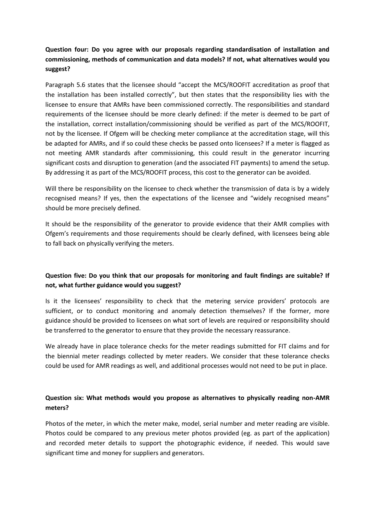## **Question four: Do you agree with our proposals regarding standardisation of installation and commissioning, methods of communication and data models? If not, what alternatives would you suggest?**

Paragraph 5.6 states that the licensee should "accept the MCS/ROOFIT accreditation as proof that the installation has been installed correctly", but then states that the responsibility lies with the licensee to ensure that AMRs have been commissioned correctly. The responsibilities and standard requirements of the licensee should be more clearly defined: if the meter is deemed to be part of the installation, correct installation/commissioning should be verified as part of the MCS/ROOFIT, not by the licensee. If Ofgem will be checking meter compliance at the accreditation stage, will this be adapted for AMRs, and if so could these checks be passed onto licensees? If a meter is flagged as not meeting AMR standards after commissioning, this could result in the generator incurring significant costs and disruption to generation (and the associated FIT payments) to amend the setup. By addressing it as part of the MCS/ROOFIT process, this cost to the generator can be avoided.

Will there be responsibility on the licensee to check whether the transmission of data is by a widely recognised means? If yes, then the expectations of the licensee and "widely recognised means" should be more precisely defined.

It should be the responsibility of the generator to provide evidence that their AMR complies with Ofgem's requirements and those requirements should be clearly defined, with licensees being able to fall back on physically verifying the meters.

### **Question five: Do you think that our proposals for monitoring and fault findings are suitable? If not, what further guidance would you suggest?**

Is it the licensees' responsibility to check that the metering service providers' protocols are sufficient, or to conduct monitoring and anomaly detection themselves? If the former, more guidance should be provided to licensees on what sort of levels are required or responsibility should be transferred to the generator to ensure that they provide the necessary reassurance.

We already have in place tolerance checks for the meter readings submitted for FIT claims and for the biennial meter readings collected by meter readers. We consider that these tolerance checks could be used for AMR readings as well, and additional processes would not need to be put in place.

### **Question six: What methods would you propose as alternatives to physically reading non-AMR meters?**

Photos of the meter, in which the meter make, model, serial number and meter reading are visible. Photos could be compared to any previous meter photos provided (eg. as part of the application) and recorded meter details to support the photographic evidence, if needed. This would save significant time and money for suppliers and generators.